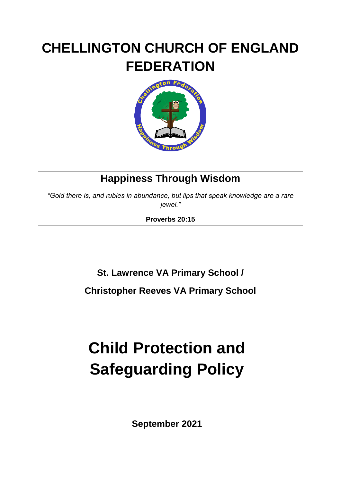## **CHELLINGTON CHURCH OF ENGLAND FEDERATION**



### **Happiness Through Wisdom**

*"Gold there is, and rubies in abundance, but lips that speak knowledge are a rare jewel."*

**Proverbs 20:15**

## **St. Lawrence VA Primary School /**

**Christopher Reeves VA Primary School**

# **Child Protection and Safeguarding Policy**

**September 2021**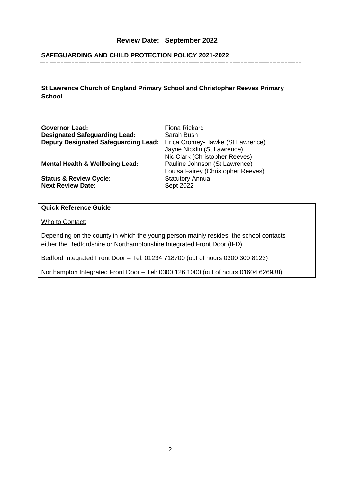#### **Review Date: September 2022**

#### **SAFEGUARDING AND CHILD PROTECTION POLICY 2021-2022**

**St Lawrence Church of England Primary School and Christopher Reeves Primary School**

**Governor Lead:** Fiona Rickard **Designated Safeguarding Lead:** Sarah Bush **Deputy Designated Safeguarding Lead:** Erica Cromey-Hawke (St Lawrence)

**Mental Health & Wellbeing Lead:** Pauline Johnson (St Lawrence)

**Status & Review Cycle:** Statutory Annual<br> **Next Review Date:** Sept 2022 **Next Review Date:** 

Jayne Nicklin (St Lawrence) Nic Clark (Christopher Reeves) Louisa Fairey (Christopher Reeves)

#### **Quick Reference Guide**

Who to Contact:

Depending on the county in which the young person mainly resides, the school contacts either the Bedfordshire or Northamptonshire Integrated Front Door (IFD).

Bedford Integrated Front Door – Tel: 01234 718700 (out of hours 0300 300 8123)

Northampton Integrated Front Door – Tel: 0300 126 1000 (out of hours 01604 626938)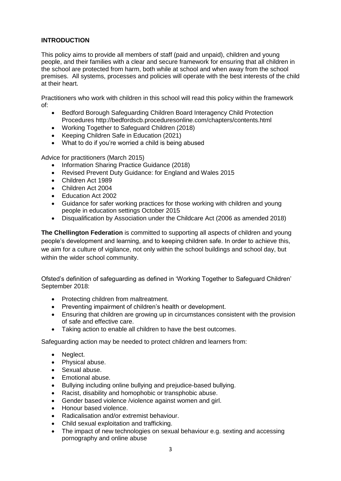#### **INTRODUCTION**

This policy aims to provide all members of staff (paid and unpaid), children and young people, and their families with a clear and secure framework for ensuring that all children in the school are protected from harm, both while at school and when away from the school premises. All systems, processes and policies will operate with the best interests of the child at their heart.

Practitioners who work with children in this school will read this policy within the framework of:

- Bedford Borough Safeguarding Children Board Interagency Child Protection Procedures<http://bedfordscb.proceduresonline.com/chapters/contents.html>
- Working Together to Safeguard Children (2018)
- Keeping Children Safe in Education (2021)
- What to do if you're worried a child is being abused

Advice for practitioners (March 2015)

- Information Sharing Practice Guidance (2018)
- Revised Prevent Duty Guidance: for England and Wales 2015
- Children Act 1989
- Children Act 2004
- Education Act 2002
- Guidance for safer working practices for those working with children and young people in education settings October 2015
- Disqualification by Association under the Childcare Act (2006 as amended 2018)

**The Chellington Federation** is committed to supporting all aspects of children and young people's development and learning, and to keeping children safe. In order to achieve this, we aim for a culture of vigilance, not only within the school buildings and school day, but within the wider school community.

Ofsted's definition of safeguarding as defined in 'Working Together to Safeguard Children' September 2018:

- Protecting children from maltreatment.
- Preventing impairment of children's health or development.
- Ensuring that children are growing up in circumstances consistent with the provision of safe and effective care.
- Taking action to enable all children to have the best outcomes.

Safeguarding action may be needed to protect children and learners from:

- Neglect.
- Physical abuse.
- Sexual abuse.
- Emotional abuse.
- Bullying including online bullying and prejudice-based bullying.
- Racist, disability and homophobic or transphobic abuse.
- Gender based violence /violence against women and girl.
- Honour based violence.
- Radicalisation and/or extremist behaviour.
- Child sexual exploitation and trafficking.
- The impact of new technologies on sexual behaviour e.g. sexting and accessing pornography and online abuse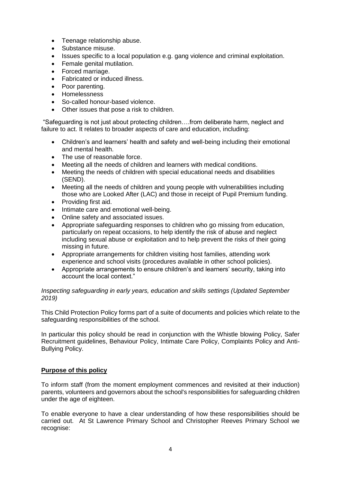- Teenage relationship abuse.
- Substance misuse.
- Issues specific to a local population e.g. gang violence and criminal exploitation.
- Female genital mutilation.
- Forced marriage.
- Fabricated or induced illness.
- Poor parenting.
- Homelessness
- So-called honour-based violence.
- Other issues that pose a risk to children.

"Safeguarding is not just about protecting children….from deliberate harm, neglect and failure to act. It relates to broader aspects of care and education, including:

- Children's and learners' health and safety and well-being including their emotional and mental health.
- The use of reasonable force.
- Meeting all the needs of children and learners with medical conditions.
- Meeting the needs of children with special educational needs and disabilities (SEND).
- Meeting all the needs of children and young people with vulnerabilities including those who are Looked After (LAC) and those in receipt of Pupil Premium funding.
- Providing first aid.
- Intimate care and emotional well-being.
- Online safety and associated issues.
- Appropriate safeguarding responses to children who go missing from education, particularly on repeat occasions, to help identify the risk of abuse and neglect including sexual abuse or exploitation and to help prevent the risks of their going missing in future.
- Appropriate arrangements for children visiting host families, attending work experience and school visits (procedures available in other school policies).
- Appropriate arrangements to ensure children's and learners' security, taking into account the local context."

#### *Inspecting safeguarding in early years, education and skills settings (Updated September 2019)*

This Child Protection Policy forms part of a suite of documents and policies which relate to the safeguarding responsibilities of the school.

In particular this policy should be read in conjunction with the Whistle blowing Policy, Safer Recruitment guidelines, Behaviour Policy, Intimate Care Policy, Complaints Policy and Anti-Bullying Policy.

#### **Purpose of this policy**

To inform staff (from the moment employment commences and revisited at their induction) parents, volunteers and governors about the school's responsibilities for safeguarding children under the age of eighteen.

To enable everyone to have a clear understanding of how these responsibilities should be carried out. At St Lawrence Primary School and Christopher Reeves Primary School we recognise: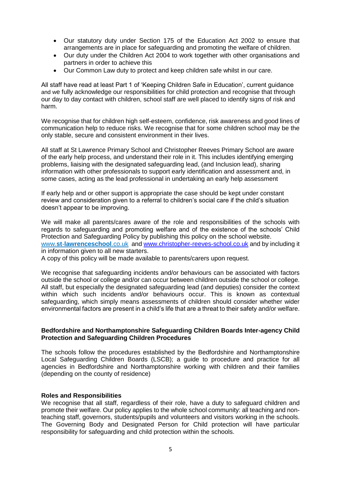- Our statutory duty under Section 175 of the Education Act 2002 to ensure that arrangements are in place for safeguarding and promoting the welfare of children.
- Our duty under the Children Act 2004 to work together with other organisations and partners in order to achieve this
- Our Common Law duty to protect and keep children safe whilst in our care.

All staff have read at least Part 1 of 'Keeping Children Safe in Education', current guidance and we fully acknowledge our responsibilities for child protection and recognise that through our day to day contact with children, school staff are well placed to identify signs of risk and harm.

We recognise that for children high self-esteem, confidence, risk awareness and good lines of communication help to reduce risks. We recognise that for some children school may be the only stable, secure and consistent environment in their lives.

All staff at St Lawrence Primary School and Christopher Reeves Primary School are aware of the early help process, and understand their role in it. This includes identifying emerging problems, liaising with the designated safeguarding lead, (and Inclusion lead), sharing information with other professionals to support early identification and assessment and, in some cases, acting as the lead professional in undertaking an early help assessment

If early help and or other support is appropriate the case should be kept under constant review and consideration given to a referral to children's social care if the child's situation doesn't appear to be improving.

We will make all parents/cares aware of the role and responsibilities of the schools with regards to safeguarding and promoting welfare and of the existence of the schools' Child Protection and Safeguarding Policy by publishing this policy on the school website. www.**st**-**[lawrenceschool](http://www.st-lawrenceschool.co.uk/)**.co.uk an[d www.christopher-reeves-school.co.uk](http://www.christopher-reeves-school.co.uk/) and by including it in information given to all new starters.

A copy of this policy will be made available to parents/carers upon request.

We recognise that safeguarding incidents and/or behaviours can be associated with factors outside the school or college and/or can occur between children outside the school or college. All staff, but especially the designated safeguarding lead (and deputies) consider the context within which such incidents and/or behaviours occur. This is known as contextual safeguarding, which simply means assessments of children should consider whether wider environmental factors are present in a child's life that are a threat to their safety and/or welfare.

#### **Bedfordshire and Northamptonshire Safeguarding Children Boards Inter-agency Child Protection and Safeguarding Children Procedures**

The schools follow the procedures established by the Bedfordshire and Northamptonshire Local Safeguarding Children Boards (LSCB); a guide to procedure and practice for all agencies in Bedfordshire and Northamptonshire working with children and their families (depending on the county of residence)

#### **Roles and Responsibilities**

We recognise that all staff, regardless of their role, have a duty to safeguard children and promote their welfare. Our policy applies to the whole school community: all teaching and nonteaching staff, governors, students/pupils and volunteers and visitors working in the schools. The Governing Body and Designated Person for Child protection will have particular responsibility for safeguarding and child protection within the schools.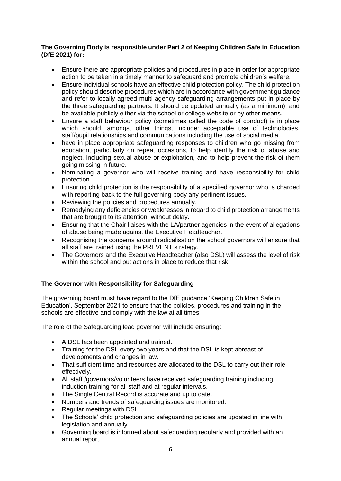#### **The Governing Body is responsible under Part 2 of Keeping Children Safe in Education (DfE 2021) for:**

- Ensure there are appropriate policies and procedures in place in order for appropriate action to be taken in a timely manner to safeguard and promote children's welfare.
- Ensure individual schools have an effective child protection policy. The child protection policy should describe procedures which are in accordance with government guidance and refer to locally agreed multi-agency safeguarding arrangements put in place by the three safeguarding partners. It should be updated annually (as a minimum), and be available publicly either via the school or college website or by other means.
- Ensure a staff behaviour policy (sometimes called the code of conduct) is in place which should, amongst other things, include: acceptable use of technologies, staff/pupil relationships and communications including the use of social media.
- have in place appropriate safeguarding responses to children who go missing from education, particularly on repeat occasions, to help identify the risk of abuse and neglect, including sexual abuse or exploitation, and to help prevent the risk of them going missing in future.
- Nominating a governor who will receive training and have responsibility for child protection.
- Ensuring child protection is the responsibility of a specified governor who is charged with reporting back to the full governing body any pertinent issues.
- Reviewing the policies and procedures annually.
- Remedying any deficiencies or weaknesses in regard to child protection arrangements that are brought to its attention, without delay.
- Ensuring that the Chair liaises with the LA/partner agencies in the event of allegations of abuse being made against the Executive Headteacher.
- Recognising the concerns around radicalisation the school governors will ensure that all staff are trained using the PREVENT strategy.
- The Governors and the Executive Headteacher (also DSL) will assess the level of risk within the school and put actions in place to reduce that risk.

#### **The Governor with Responsibility for Safeguarding**

The governing board must have regard to the DfE guidance 'Keeping Children Safe in Education', September 2021 to ensure that the policies, procedures and training in the schools are effective and comply with the law at all times.

The role of the Safeguarding lead governor will include ensuring:

- A DSL has been appointed and trained.
- Training for the DSL every two years and that the DSL is kept abreast of developments and changes in law.
- That sufficient time and resources are allocated to the DSL to carry out their role effectively.
- All staff /governors/volunteers have received safeguarding training including induction training for all staff and at regular intervals.
- The Single Central Record is accurate and up to date.
- Numbers and trends of safeguarding issues are monitored.
- Regular meetings with DSL.
- The Schools' child protection and safeguarding policies are updated in line with legislation and annually.
- Governing board is informed about safeguarding regularly and provided with an annual report.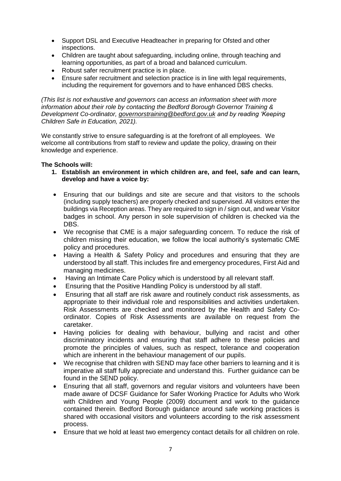- Support DSL and Executive Headteacher in preparing for Ofsted and other inspections.
- Children are taught about safeguarding, including online, through teaching and learning opportunities, as part of a broad and balanced curriculum.
- Robust safer recruitment practice is in place.
- Ensure safer recruitment and selection practice is in line with legal requirements, including the requirement for governors and to have enhanced DBS checks.

*(This list is not exhaustive and governors can access an information sheet with more information about their role by contacting the Bedford Borough Governor Training & Development Co-ordinator, [governorstraining@bedford.gov.uk](mailto:governorstraining@bedford.gov.uk) and by reading 'Keeping Children Safe in Education, 2021).*

We constantly strive to ensure safeguarding is at the forefront of all employees. We welcome all contributions from staff to review and update the policy, drawing on their knowledge and experience.

#### **The Schools will:**

- **1. Establish an environment in which children are, and feel, safe and can learn, develop and have a voice by:**
- Ensuring that our buildings and site are secure and that visitors to the schools (including supply teachers) are properly checked and supervised. All visitors enter the buildings via Reception areas. They are required to sign in / sign out, and wear Visitor badges in school. Any person in sole supervision of children is checked via the DBS.
- We recognise that CME is a major safeguarding concern. To reduce the risk of children missing their education, we follow the local authority's systematic CME policy and procedures.
- Having a Health & Safety Policy and procedures and ensuring that they are understood by all staff. This includes fire and emergency procedures, First Aid and managing medicines.
- Having an Intimate Care Policy which is understood by all relevant staff.
- Ensuring that the Positive Handling Policy is understood by all staff.
- Ensuring that all staff are risk aware and routinely conduct risk assessments, as appropriate to their individual role and responsibilities and activities undertaken. Risk Assessments are checked and monitored by the Health and Safety Coordinator. Copies of Risk Assessments are available on request from the caretaker.
- Having policies for dealing with behaviour, bullying and racist and other discriminatory incidents and ensuring that staff adhere to these policies and promote the principles of values, such as respect, tolerance and cooperation which are inherent in the behaviour management of our pupils.
- We recognise that children with SEND may face other barriers to learning and it is imperative all staff fully appreciate and understand this. Further guidance can be found in the SEND policy.
- Ensuring that all staff, governors and regular visitors and volunteers have been made aware of DCSF Guidance for Safer Working Practice for Adults who Work with Children and Young People (2009) document and work to the guidance contained therein. Bedford Borough guidance around safe working practices is shared with occasional visitors and volunteers according to the risk assessment process.
- Ensure that we hold at least two emergency contact details for all children on role.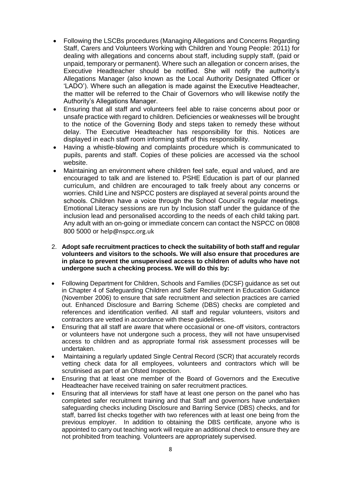- Following the LSCBs procedures (Managing Allegations and Concerns Regarding Staff, Carers and Volunteers Working with Children and Young People: 2011) for dealing with allegations and concerns about staff, including supply staff, (paid or unpaid, temporary or permanent). Where such an allegation or concern arises, the Executive Headteacher should be notified. She will notify the authority's Allegations Manager (also known as the Local Authority Designated Officer or 'LADO'). Where such an allegation is made against the Executive Headteacher, the matter will be referred to the Chair of Governors who will likewise notify the Authority's Allegations Manager.
- Ensuring that all staff and volunteers feel able to raise concerns about poor or unsafe practice with regard to children. Deficiencies or weaknesses will be brought to the notice of the Governing Body and steps taken to remedy these without delay. The Executive Headteacher has responsibility for this. Notices are displayed in each staff room informing staff of this responsibility.
- Having a whistle-blowing and complaints procedure which is communicated to pupils, parents and staff. Copies of these policies are accessed via the school website.
- Maintaining an environment where children feel safe, equal and valued, and are encouraged to talk and are listened to. PSHE Education is part of our planned curriculum, and children are encouraged to talk freely about any concerns or worries. Child Line and NSPCC posters are displayed at several points around the schools. Children have a voice through the School Council's regular meetings. Emotional Literacy sessions are run by Inclusion staff under the guidance of the inclusion lead and personalised according to the needs of each child taking part. Any adult with an on-going or immediate concern can contact the NSPCC on 0808 800 5000 or [help@nspcc.org.uk](mailto:help@nspcc.org.uk)
- 2. **Adopt safe recruitment practices to check the suitability of both staff and regular volunteers and visitors to the schools. We will also ensure that procedures are in place to prevent the unsupervised access to children of adults who have not undergone such a checking process. We will do this by:**
- Following Department for Children, Schools and Families (DCSF) guidance as set out in Chapter 4 of Safeguarding Children and Safer Recruitment in Education Guidance (November 2006) to ensure that safe recruitment and selection practices are carried out. Enhanced Disclosure and Barring Scheme (DBS) checks are completed and references and identification verified. All staff and regular volunteers, visitors and contractors are vetted in accordance with these guidelines.
- Ensuring that all staff are aware that where occasional or one-off visitors, contractors or volunteers have not undergone such a process, they will not have unsupervised access to children and as appropriate formal risk assessment processes will be undertaken.
- Maintaining a regularly updated Single Central Record (SCR) that accurately records vetting check data for all employees, volunteers and contractors which will be scrutinised as part of an Ofsted Inspection.
- Ensuring that at least one member of the Board of Governors and the Executive Headteacher have received training on safer recruitment practices.
- Ensuring that all interviews for staff have at least one person on the panel who has completed safer recruitment training and that Staff and governors have undertaken safeguarding checks including Disclosure and Barring Service (DBS) checks, and for staff, barred list checks together with two references with at least one being from the previous employer. In addition to obtaining the DBS certificate, anyone who is appointed to carry out teaching work will require an additional check to ensure they are not prohibited from teaching. Volunteers are appropriately supervised.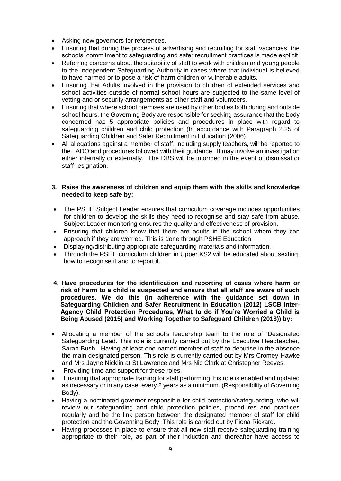- Asking new governors for references.
- Ensuring that during the process of advertising and recruiting for staff vacancies, the schools' commitment to safeguarding and safer recruitment practices is made explicit.
- Referring concerns about the suitability of staff to work with children and young people to the Independent Safeguarding Authority in cases where that individual is believed to have harmed or to pose a risk of harm children or vulnerable adults.
- Ensuring that Adults involved in the provision to children of extended services and school activities outside of normal school hours are subjected to the same level of vetting and or security arrangements as other staff and volunteers.
- Ensuring that where school premises are used by other bodies both during and outside school hours, the Governing Body are responsible for seeking assurance that the body concerned has 5 appropriate policies and procedures in place with regard to safeguarding children and child protection (In accordance with Paragraph 2.25 of Safeguarding Children and Safer Recruitment in Education (2006).
- All allegations against a member of staff, including supply teachers, will be reported to the LADO and procedures followed with their guidance. It may involve an investigation either internally or externally. The DBS will be informed in the event of dismissal or staff resignation.

#### **3. Raise the awareness of children and equip them with the skills and knowledge needed to keep safe by:**

- The PSHE Subject Leader ensures that curriculum coverage includes opportunities for children to develop the skills they need to recognise and stay safe from abuse. Subject Leader monitoring ensures the quality and effectiveness of provision.
- Ensuring that children know that there are adults in the school whom they can approach if they are worried. This is done through PSHE Education.
- Displaying/distributing appropriate safeguarding materials and information.
- Through the PSHE curriculum children in Upper KS2 will be educated about sexting, how to recognise it and to report it.
- **4. Have procedures for the identification and reporting of cases where harm or risk of harm to a child is suspected and ensure that all staff are aware of such procedures. We do this (in adherence with the guidance set down in Safeguarding Children and Safer Recruitment in Education (2012) LSCB Inter- Agency Child Protection Procedures, What to do if You're Worried a Child is Being Abused (2015) and Working Together to Safeguard Children (2018)) by:**
- Allocating a member of the school's leadership team to the role of 'Designated Safeguarding Lead. This role is currently carried out by the Executive Headteacher, Sarah Bush. Having at least one named member of staff to deputise in the absence the main designated person. This role is currently carried out by Mrs Cromey-Hawke and Mrs Jayne Nicklin at St Lawrence and Mrs Nic Clark at Christopher Reeves.
- Providing time and support for these roles.
- Ensuring that appropriate training for staff performing this role is enabled and updated as necessary or in any case, every 2 years as a minimum. (Responsibility of Governing Body).
- Having a nominated governor responsible for child protection/safeguarding, who will review our safeguarding and child protection policies, procedures and practices regularly and be the link person between the designated member of staff for child protection and the Governing Body. This role is carried out by Fiona Rickard.
- Having processes in place to ensure that all new staff receive safeguarding training appropriate to their role, as part of their induction and thereafter have access to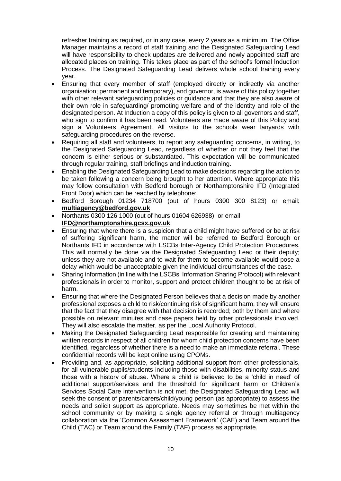refresher training as required, or in any case, every 2 years as a minimum. The Office Manager maintains a record of staff training and the Designated Safeguarding Lead will have responsibility to check updates are delivered and newly appointed staff are allocated places on training. This takes place as part of the school's formal Induction Process. The Designated Safeguarding Lead delivers whole school training every year.

- Ensuring that every member of staff (employed directly or indirectly via another organisation; permanent and temporary), and governor, is aware of this policy together with other relevant safeguarding policies or guidance and that they are also aware of their own role in safeguarding/ promoting welfare and of the identity and role of the designated person. At Induction a copy of this policy is given to all governors and staff, who sign to confirm it has been read. Volunteers are made aware of this Policy and sign a Volunteers Agreement. All visitors to the schools wear lanyards with safeguarding procedures on the reverse.
- Requiring all staff and volunteers, to report any safeguarding concerns, in writing, to the Designated Safeguarding Lead, regardless of whether or not they feel that the concern is either serious or substantiated. This expectation will be communicated through regular training, staff briefings and induction training.
- Enabling the Designated Safeguarding Lead to make decisions regarding the action to be taken following a concern being brought to her attention. Where appropriate this may follow consultation with Bedford borough or Northamptonshire IFD (Integrated Front Door) which can be reached by telephone:
- Bedford Borough 01234 718700 (out of hours 0300 300 8123) or email: **[multiagency@bedford.gov.uk](mailto:multiagency@bedford.gov.uk)**
- Northants 0300 126 1000 (out of hours 01604 626938) or email **[IFD@northamptonshire.gcsx.gov.uk](mailto:MASH@northamptonshire.gcsx.gov.uk)**
- Ensuring that where there is a suspicion that a child might have suffered or be at risk of suffering significant harm, the matter will be referred to Bedford Borough or Northants IFD in accordance with LSCBs Inter-Agency Child Protection Procedures. This will normally be done via the Designated Safeguarding Lead or their deputy; unless they are not available and to wait for them to become available would pose a delay which would be unacceptable given the individual circumstances of the case.
- Sharing information (in line with the LSCBs' Information Sharing Protocol) with relevant professionals in order to monitor, support and protect children thought to be at risk of harm.
- Ensuring that where the Designated Person believes that a decision made by another professional exposes a child to risk/continuing risk of significant harm, they will ensure that the fact that they disagree with that decision is recorded; both by them and where possible on relevant minutes and case papers held by other professionals involved. They will also escalate the matter, as per the Local Authority Protocol.
- Making the Designated Safeguarding Lead responsible for creating and maintaining written records in respect of all children for whom child protection concerns have been identified, regardless of whether there is a need to make an immediate referral. These confidential records will be kept online using CPOMs.
- Providing and, as appropriate, soliciting additional support from other professionals, for all vulnerable pupils/students including those with disabilities, minority status and those with a history of abuse. Where a child is believed to be a 'child in need' of additional support/services and the threshold for significant harm or Children's Services Social Care intervention is not met, the Designated Safeguarding Lead will seek the consent of parents/carers/child/young person (as appropriate) to assess the needs and solicit support as appropriate. Needs may sometimes be met within the school community or by making a single agency referral or through multiagency collaboration via the 'Common Assessment Framework' (CAF) and Team around the Child (TAC) or Team around the Family (TAF) process as appropriate.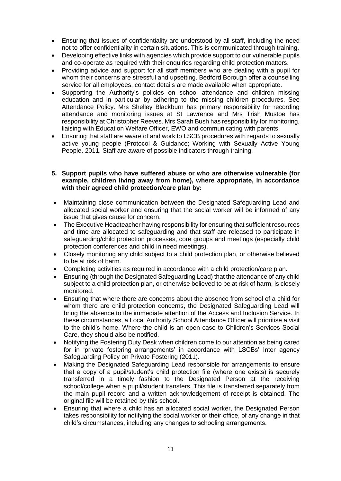- Ensuring that issues of confidentiality are understood by all staff, including the need not to offer confidentiality in certain situations. This is communicated through training.
- Developing effective links with agencies which provide support to our vulnerable pupils and co-operate as required with their enquiries regarding child protection matters.
- Providing advice and support for all staff members who are dealing with a pupil for whom their concerns are stressful and upsetting. Bedford Borough offer a counselling service for all employees, contact details are made available when appropriate.
- Supporting the Authority's policies on school attendance and children missing education and in particular by adhering to the missing children procedures. See Attendance Policy. Mrs Shelley Blackburn has primary responsibility for recording attendance and monitoring issues at St Lawrence and Mrs Trish Mustoe has responsibility at Christopher Reeves. Mrs Sarah Bush has responsibility for monitoring, liaising with Education Welfare Officer, EWO and communicating with parents.
- Ensuring that staff are aware of and work to LSCB procedures with regards to sexually active young people (Protocol & Guidance; Working with Sexually Active Young People, 2011. Staff are aware of possible indicators through training.

#### **5. Support pupils who have suffered abuse or who are otherwise vulnerable (for example, children living away from home), where appropriate, in accordance with their agreed child protection/care plan by:**

- Maintaining close communication between the Designated Safeguarding Lead and allocated social worker and ensuring that the social worker will be informed of any issue that gives cause for concern.
- The Executive Headteacher having responsibility for ensuring that sufficient resources and time are allocated to safeguarding and that staff are released to participate in safeguarding/child protection processes, core groups and meetings (especially child protection conferences and child in need meetings).
- Closely monitoring any child subject to a child protection plan, or otherwise believed to be at risk of harm.
- Completing activities as required in accordance with a child protection/care plan.
- Ensuring (through the Designated Safeguarding Lead) that the attendance of any child subject to a child protection plan, or otherwise believed to be at risk of harm, is closely monitored.
- Ensuring that where there are concerns about the absence from school of a child for whom there are child protection concerns, the Designated Safeguarding Lead will bring the absence to the immediate attention of the Access and Inclusion Service. In these circumstances, a Local Authority School Attendance Officer will prioritise a visit to the child's home. Where the child is an open case to Children's Services Social Care, they should also be notified.
- Notifying the Fostering Duty Desk when children come to our attention as being cared for in 'private fostering arrangements' in accordance with LSCBs' Inter agency Safeguarding Policy on Private Fostering (2011).
- Making the Designated Safeguarding Lead responsible for arrangements to ensure that a copy of a pupil/student's child protection file (where one exists) is securely transferred in a timely fashion to the Designated Person at the receiving school/college when a pupil/student transfers. This file is transferred separately from the main pupil record and a written acknowledgement of receipt is obtained. The original file will be retained by this school.
- Ensuring that where a child has an allocated social worker, the Designated Person takes responsibility for notifying the social worker or their office, of any change in that child's circumstances, including any changes to schooling arrangements.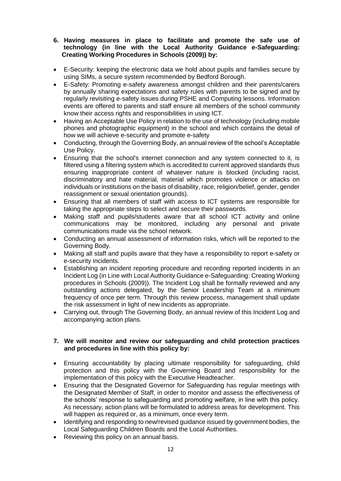#### **6. Having measures in place to facilitate and promote the safe use of technology (in line with the Local Authority Guidance e-Safeguarding: Creating Working Procedures in Schools (2009)) by:**

- E-Security: keeping the electronic data we hold about pupils and families secure by using SIMs, a secure system recommended by Bedford Borough.
- E-Safety: Promoting e-safety awareness amongst children and their parents/carers by annually sharing expectations and safety rules with parents to be signed and by regularly revisiting e-safety issues during PSHE and Computing lessons. Information events are offered to parents and staff ensure all members of the school community know their access rights and responsibilities in using ICT.
- Having an Acceptable Use Policy in relation to the use of technology (including mobile phones and photographic equipment) in the school and which contains the detail of how we will achieve e-security and promote e-safety
- Conducting, through the Governing Body, an annual review of the school's Acceptable Use Policy.
- Ensuring that the school's internet connection and any system connected to it, is filtered using a filtering system which is accredited to current approved standards thus ensuring inappropriate content of whatever nature is blocked (including racist, discriminatory and hate material, material which promotes violence or attacks on individuals or institutions on the basis of disability, race, religion/belief, gender, gender reassignment or sexual orientation grounds).
- Ensuring that all members of staff with access to ICT systems are responsible for taking the appropriate steps to select and secure their passwords.
- Making staff and pupils/students aware that all school ICT activity and online communications may be monitored, including any personal and private communications made via the school network.
- Conducting an annual assessment of information risks, which will be reported to the Governing Body.
- Making all staff and pupils aware that they have a responsibility to report e-safety or e-security incidents.
- Establishing an incident reporting procedure and recording reported incidents in an Incident Log (in Line with Local Authority Guidance e-Safeguarding: Creating Working procedures in Schools (2009)). The Incident Log shall be formally reviewed and any outstanding actions delegated, by the Senior Leadership Team at a minimum frequency of once per term. Through this review process, management shall update the risk assessment in light of new incidents as appropriate.
- Carrying out, through The Governing Body, an annual review of this Incident Log and accompanying action plans.

#### **7. We will monitor and review our safeguarding and child protection practices and procedures in line with this policy by:**

- Ensuring accountability by placing ultimate responsibility for safeguarding, child protection and this policy with the Governing Board and responsibility for the implementation of this policy with the Executive Headteacher.
- Ensuring that the Designated Governor for Safeguarding has regular meetings with the Designated Member of Staff, in order to monitor and assess the effectiveness of the schools' response to safeguarding and promoting welfare, in line with this policy. As necessary, action plans will be formulated to address areas for development. This will happen as required or, as a minimum, once every term.
- Identifying and responding to new/revised guidance issued by government bodies, the Local Safeguarding Children Boards and the Local Authorities.
- Reviewing this policy on an annual basis.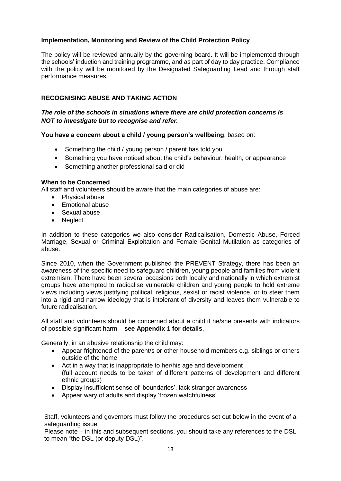#### **Implementation, Monitoring and Review of the Child Protection Policy**

The policy will be reviewed annually by the governing board. It will be implemented through the schools' induction and training programme, and as part of day to day practice. Compliance with the policy will be monitored by the Designated Safeguarding Lead and through staff performance measures.

#### **RECOGNISING ABUSE AND TAKING ACTION**

#### *The role of the schools in situations where there are child protection concerns is NOT to investigate but to recognise and refer.*

#### **You have a concern about a child / young person's wellbeing**, based on:

- Something the child / young person / parent has told you
- Something you have noticed about the child's behaviour, health, or appearance
- Something another professional said or did

#### **When to be Concerned**

All staff and volunteers should be aware that the main categories of abuse are:

- Physical abuse
- Emotional abuse
- Sexual abuse
- Neglect

In addition to these categories we also consider Radicalisation, Domestic Abuse, Forced Marriage, Sexual or Criminal Exploitation and Female Genital Mutilation as categories of abuse.

Since 2010, when the Government published the PREVENT Strategy, there has been an awareness of the specific need to safeguard children, young people and families from violent extremism. There have been several occasions both locally and nationally in which extremist groups have attempted to radicalise vulnerable children and young people to hold extreme views including views justifying political, religious, sexist or racist violence, or to steer them into a rigid and narrow ideology that is intolerant of diversity and leaves them vulnerable to future radicalisation.

All staff and volunteers should be concerned about a child if he/she presents with indicators of possible significant harm – **see Appendix 1 for details**.

Generally, in an abusive relationship the child may:

- Appear frightened of the parent/s or other household members e.g. siblings or others outside of the home
- Act in a way that is inappropriate to her/his age and development (full account needs to be taken of different patterns of development and different ethnic groups)
- Display insufficient sense of 'boundaries', lack stranger awareness
- Appear wary of adults and display 'frozen watchfulness'.

Staff, volunteers and governors must follow the procedures set out below in the event of a safeguarding issue.

Please note – in this and subsequent sections, you should take any references to the DSL to mean "the DSL (or deputy DSL)".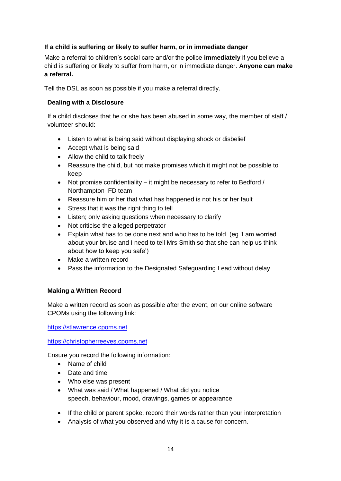#### **If a child is suffering or likely to suffer harm, or in immediate danger**

Make a referral to children's social care and/or the police **immediately** if you believe a child is suffering or likely to suffer from harm, or in immediate danger. **Anyone can make a referral.**

Tell the DSL as soon as possible if you make a referral directly.

#### **Dealing with a Disclosure**

If a child discloses that he or she has been abused in some way, the member of staff / volunteer should:

- Listen to what is being said without displaying shock or disbelief
- Accept what is being said
- Allow the child to talk freely
- Reassure the child, but not make promises which it might not be possible to keep
- Not promise confidentiality it might be necessary to refer to Bedford / Northampton IFD team
- Reassure him or her that what has happened is not his or her fault
- Stress that it was the right thing to tell
- Listen; only asking questions when necessary to clarify
- Not criticise the alleged perpetrator
- Explain what has to be done next and who has to be told (eg 'I am worried about your bruise and I need to tell Mrs Smith so that she can help us think about how to keep you safe')
- Make a written record
- Pass the information to the Designated Safeguarding Lead without delay

#### **Making a Written Record**

Make a written record as soon as possible after the event, on our online software CPOMs using the following link:

[https://stlawrence.cpoms.net](https://stlawrence.cpoms.net/)

[https://christopherreeves.cpoms.net](https://christopherreeves.cpoms.net/)

Ensure you record the following information:

- Name of child
- Date and time
- Who else was present
- What was said / What happened / What did you notice speech, behaviour, mood, drawings, games or appearance
- If the child or parent spoke, record their words rather than your interpretation
- Analysis of what you observed and why it is a cause for concern.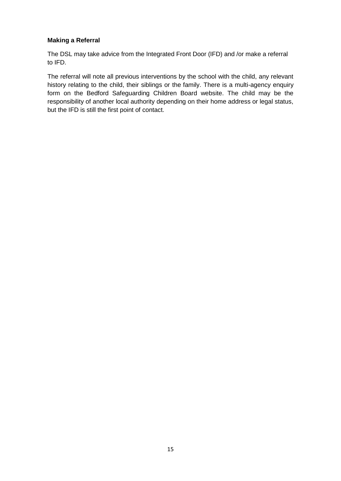#### **Making a Referral**

The DSL may take advice from the Integrated Front Door (IFD) and /or make a referral to IFD.

The referral will note all previous interventions by the school with the child, any relevant history relating to the child, their siblings or the family. There is a multi-agency enquiry form on the Bedford Safeguarding Children Board website. The child may be the responsibility of another local authority depending on their home address or legal status, but the IFD is still the first point of contact.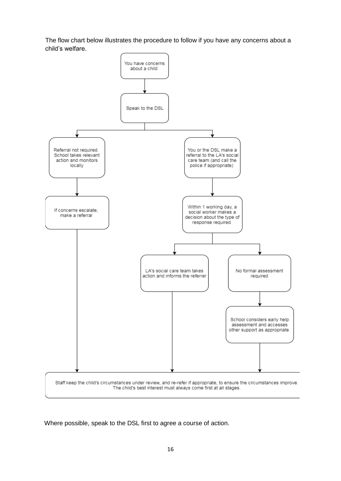The flow chart below illustrates the procedure to follow if you have any concerns about a child's welfare.



Where possible, speak to the DSL first to agree a course of action.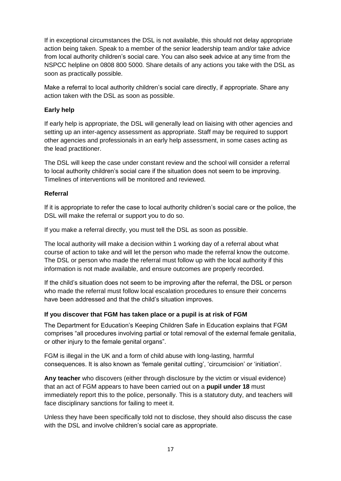If in exceptional circumstances the DSL is not available, this should not delay appropriate action being taken. Speak to a member of the senior leadership team and/or take advice from local authority children's social care. You can also seek advice at any time from the NSPCC helpline on 0808 800 5000. Share details of any actions you take with the DSL as soon as practically possible.

Make a referral to local authority children's social care directly, if appropriate. Share any action taken with the DSL as soon as possible.

#### **Early help**

If early help is appropriate, the DSL will generally lead on liaising with other agencies and setting up an inter-agency assessment as appropriate. Staff may be required to support other agencies and professionals in an early help assessment, in some cases acting as the lead practitioner.

The DSL will keep the case under constant review and the school will consider a referral to local authority children's social care if the situation does not seem to be improving. Timelines of interventions will be monitored and reviewed.

#### **Referral**

If it is appropriate to refer the case to local authority children's social care or the police, the DSL will make the referral or support you to do so.

If you make a referral directly, you must tell the DSL as soon as possible.

The local authority will make a decision within 1 working day of a referral about what course of action to take and will let the person who made the referral know the outcome. The DSL or person who made the referral must follow up with the local authority if this information is not made available, and ensure outcomes are properly recorded.

If the child's situation does not seem to be improving after the referral, the DSL or person who made the referral must follow local escalation procedures to ensure their concerns have been addressed and that the child's situation improves.

#### **If you discover that FGM has taken place or a pupil is at risk of FGM**

The Department for Education's Keeping Children Safe in Education explains that FGM comprises "all procedures involving partial or total removal of the external female genitalia, or other injury to the female genital organs".

FGM is illegal in the UK and a form of child abuse with long-lasting, harmful consequences. It is also known as 'female genital cutting', 'circumcision' or 'initiation'.

**Any teacher** who discovers (either through disclosure by the victim or visual evidence) that an act of FGM appears to have been carried out on a **pupil under 18** must immediately report this to the police, personally. This is a statutory duty, and teachers will face disciplinary sanctions for failing to meet it.

Unless they have been specifically told not to disclose, they should also discuss the case with the DSL and involve children's social care as appropriate.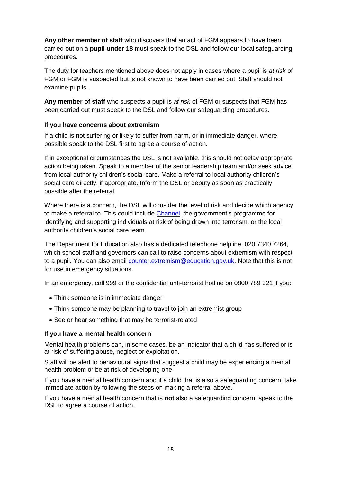**Any other member of staff** who discovers that an act of FGM appears to have been carried out on a **pupil under 18** must speak to the DSL and follow our local safeguarding procedures.

The duty for teachers mentioned above does not apply in cases where a pupil is *at risk* of FGM or FGM is suspected but is not known to have been carried out. Staff should not examine pupils.

**Any member of staff** who suspects a pupil is *at risk* of FGM or suspects that FGM has been carried out must speak to the DSL and follow our safeguarding procedures.

#### **If you have concerns about extremism**

If a child is not suffering or likely to suffer from harm, or in immediate danger, where possible speak to the DSL first to agree a course of action.

If in exceptional circumstances the DSL is not available, this should not delay appropriate action being taken. Speak to a member of the senior leadership team and/or seek advice from local authority children's social care. Make a referral to local authority children's social care directly, if appropriate. Inform the DSL or deputy as soon as practically possible after the referral.

Where there is a concern, the DSL will consider the level of risk and decide which agency to make a referral to. This could include [Channel,](https://www.gov.uk/government/publications/channel-guidance) the government's programme for identifying and supporting individuals at risk of being drawn into terrorism, or the local authority children's social care team.

The Department for Education also has a dedicated telephone helpline, 020 7340 7264, which school staff and governors can call to raise concerns about extremism with respect to a pupil. You can also email [counter.extremism@education.gov.uk.](mailto:counter.extremism@education.gov.uk) Note that this is not for use in emergency situations.

In an emergency, call 999 or the confidential anti-terrorist hotline on 0800 789 321 if you:

- Think someone is in immediate danger
- Think someone may be planning to travel to join an extremist group
- See or hear something that may be terrorist-related

#### **If you have a mental health concern**

Mental health problems can, in some cases, be an indicator that a child has suffered or is at risk of suffering abuse, neglect or exploitation.

Staff will be alert to behavioural signs that suggest a child may be experiencing a mental health problem or be at risk of developing one.

If you have a mental health concern about a child that is also a safeguarding concern, take immediate action by following the steps on making a referral above.

If you have a mental health concern that is **not** also a safeguarding concern, speak to the DSL to agree a course of action.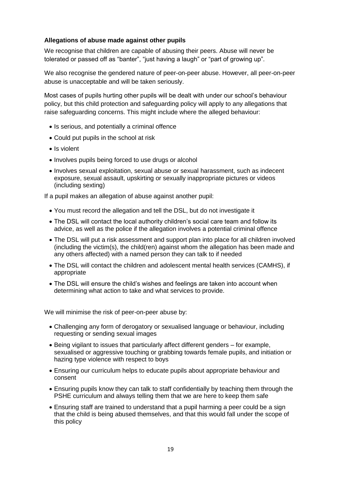#### **Allegations of abuse made against other pupils**

We recognise that children are capable of abusing their peers. Abuse will never be tolerated or passed off as "banter", "just having a laugh" or "part of growing up".

We also recognise the gendered nature of peer-on-peer abuse. However, all peer-on-peer abuse is unacceptable and will be taken seriously.

Most cases of pupils hurting other pupils will be dealt with under our school's behaviour policy, but this child protection and safeguarding policy will apply to any allegations that raise safeguarding concerns. This might include where the alleged behaviour:

- Is serious, and potentially a criminal offence
- Could put pupils in the school at risk
- Is violent
- Involves pupils being forced to use drugs or alcohol
- Involves sexual exploitation, sexual abuse or sexual harassment, such as indecent exposure, sexual assault, upskirting or sexually inappropriate pictures or videos (including sexting)

If a pupil makes an allegation of abuse against another pupil:

- You must record the allegation and tell the DSL, but do not investigate it
- The DSL will contact the local authority children's social care team and follow its advice, as well as the police if the allegation involves a potential criminal offence
- The DSL will put a risk assessment and support plan into place for all children involved (including the victim(s), the child(ren) against whom the allegation has been made and any others affected) with a named person they can talk to if needed
- The DSL will contact the children and adolescent mental health services (CAMHS), if appropriate
- The DSL will ensure the child's wishes and feelings are taken into account when determining what action to take and what services to provide.

We will minimise the risk of peer-on-peer abuse by:

- Challenging any form of derogatory or sexualised language or behaviour, including requesting or sending sexual images
- Being vigilant to issues that particularly affect different genders for example, sexualised or aggressive touching or grabbing towards female pupils, and initiation or hazing type violence with respect to boys
- Ensuring our curriculum helps to educate pupils about appropriate behaviour and consent
- Ensuring pupils know they can talk to staff confidentially by teaching them through the PSHE curriculum and always telling them that we are here to keep them safe
- Ensuring staff are trained to understand that a pupil harming a peer could be a sign that the child is being abused themselves, and that this would fall under the scope of this policy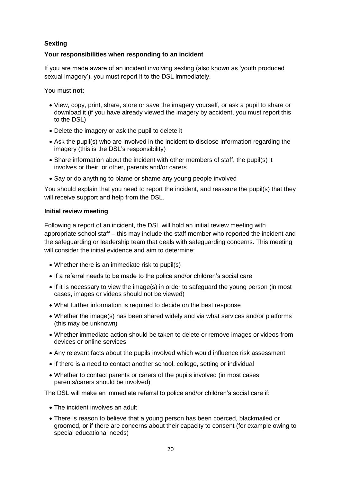#### **Sexting**

#### **Your responsibilities when responding to an incident**

If you are made aware of an incident involving sexting (also known as 'youth produced sexual imagery'), you must report it to the DSL immediately.

You must **not**:

- View, copy, print, share, store or save the imagery yourself, or ask a pupil to share or download it (if you have already viewed the imagery by accident, you must report this to the DSL)
- Delete the imagery or ask the pupil to delete it
- Ask the pupil(s) who are involved in the incident to disclose information regarding the imagery (this is the DSL's responsibility)
- Share information about the incident with other members of staff, the pupil(s) it involves or their, or other, parents and/or carers
- Say or do anything to blame or shame any young people involved

You should explain that you need to report the incident, and reassure the pupil(s) that they will receive support and help from the DSL.

#### **Initial review meeting**

Following a report of an incident, the DSL will hold an initial review meeting with appropriate school staff – this may include the staff member who reported the incident and the safeguarding or leadership team that deals with safeguarding concerns. This meeting will consider the initial evidence and aim to determine:

- Whether there is an immediate risk to pupil(s)
- If a referral needs to be made to the police and/or children's social care
- If it is necessary to view the image(s) in order to safeguard the young person (in most cases, images or videos should not be viewed)
- What further information is required to decide on the best response
- Whether the image(s) has been shared widely and via what services and/or platforms (this may be unknown)
- Whether immediate action should be taken to delete or remove images or videos from devices or online services
- Any relevant facts about the pupils involved which would influence risk assessment
- If there is a need to contact another school, college, setting or individual
- Whether to contact parents or carers of the pupils involved (in most cases parents/carers should be involved)

The DSL will make an immediate referral to police and/or children's social care if:

- The incident involves an adult
- There is reason to believe that a young person has been coerced, blackmailed or groomed, or if there are concerns about their capacity to consent (for example owing to special educational needs)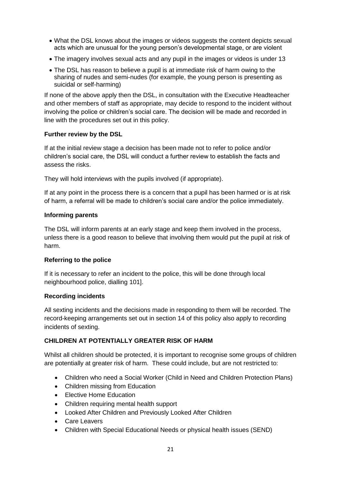- What the DSL knows about the images or videos suggests the content depicts sexual acts which are unusual for the young person's developmental stage, or are violent
- The imagery involves sexual acts and any pupil in the images or videos is under 13
- The DSL has reason to believe a pupil is at immediate risk of harm owing to the sharing of nudes and semi-nudes (for example, the young person is presenting as suicidal or self-harming)

If none of the above apply then the DSL, in consultation with the Executive Headteacher and other members of staff as appropriate, may decide to respond to the incident without involving the police or children's social care. The decision will be made and recorded in line with the procedures set out in this policy.

#### **Further review by the DSL**

If at the initial review stage a decision has been made not to refer to police and/or children's social care, the DSL will conduct a further review to establish the facts and assess the risks.

They will hold interviews with the pupils involved (if appropriate).

If at any point in the process there is a concern that a pupil has been harmed or is at risk of harm, a referral will be made to children's social care and/or the police immediately.

#### **Informing parents**

The DSL will inform parents at an early stage and keep them involved in the process, unless there is a good reason to believe that involving them would put the pupil at risk of harm.

#### **Referring to the police**

If it is necessary to refer an incident to the police, this will be done through local neighbourhood police, dialling 101].

#### **Recording incidents**

All sexting incidents and the decisions made in responding to them will be recorded. The record-keeping arrangements set out in section 14 of this policy also apply to recording incidents of sexting.

#### **CHILDREN AT POTENTIALLY GREATER RISK OF HARM**

Whilst all children should be protected, it is important to recognise some groups of children are potentially at greater risk of harm. These could include, but are not restricted to:

- Children who need a Social Worker (Child in Need and Children Protection Plans)
- Children missing from Education
- Elective Home Education
- Children requiring mental health support
- Looked After Children and Previously Looked After Children
- **Care Leavers**
- Children with Special Educational Needs or physical health issues (SEND)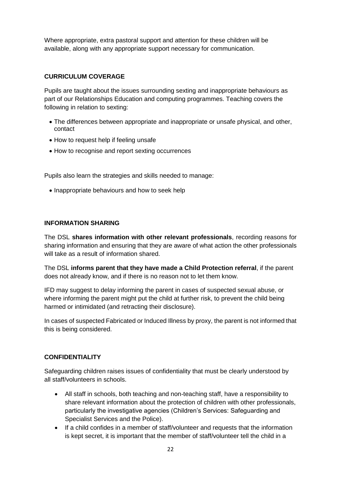Where appropriate, extra pastoral support and attention for these children will be available, along with any appropriate support necessary for communication.

#### **CURRICULUM COVERAGE**

Pupils are taught about the issues surrounding sexting and inappropriate behaviours as part of our Relationships Education and computing programmes. Teaching covers the following in relation to sexting:

- The differences between appropriate and inappropriate or unsafe physical, and other, contact
- How to request help if feeling unsafe
- How to recognise and report sexting occurrences

Pupils also learn the strategies and skills needed to manage:

• Inappropriate behaviours and how to seek help

#### **INFORMATION SHARING**

The DSL **shares information with other relevant professionals**, recording reasons for sharing information and ensuring that they are aware of what action the other professionals will take as a result of information shared.

The DSL **informs parent that they have made a Child Protection referral**, if the parent does not already know, and if there is no reason not to let them know.

IFD may suggest to delay informing the parent in cases of suspected sexual abuse, or where informing the parent might put the child at further risk, to prevent the child being harmed or intimidated (and retracting their disclosure).

In cases of suspected Fabricated or Induced Illness by proxy, the parent is not informed that this is being considered.

#### **CONFIDENTIALITY**

Safeguarding children raises issues of confidentiality that must be clearly understood by all staff/volunteers in schools.

- All staff in schools, both teaching and non-teaching staff, have a responsibility to share relevant information about the protection of children with other professionals, particularly the investigative agencies (Children's Services: Safeguarding and Specialist Services and the Police).
- If a child confides in a member of staff/volunteer and requests that the information is kept secret, it is important that the member of staff/volunteer tell the child in a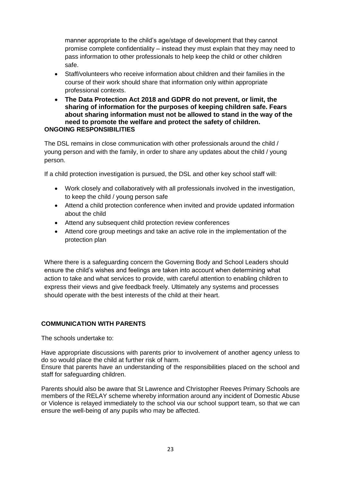manner appropriate to the child's age/stage of development that they cannot promise complete confidentiality – instead they must explain that they may need to pass information to other professionals to help keep the child or other children safe.

- Staff/volunteers who receive information about children and their families in the course of their work should share that information only within appropriate professional contexts.
- **The Data Protection Act 2018 and GDPR do not prevent, or limit, the sharing of information for the purposes of keeping children safe. Fears about sharing information must not be allowed to stand in the way of the need to promote the welfare and protect the safety of children. ONGOING RESPONSIBILITIES**

The DSL remains in close communication with other professionals around the child / young person and with the family, in order to share any updates about the child / young person.

If a child protection investigation is pursued, the DSL and other key school staff will:

- Work closely and collaboratively with all professionals involved in the investigation, to keep the child / young person safe
- Attend a child protection conference when invited and provide updated information about the child
- Attend any subsequent child protection review conferences
- Attend core group meetings and take an active role in the implementation of the protection plan

Where there is a safeguarding concern the Governing Body and School Leaders should ensure the child's wishes and feelings are taken into account when determining what action to take and what services to provide, with careful attention to enabling children to express their views and give feedback freely. Ultimately any systems and processes should operate with the best interests of the child at their heart.

#### **COMMUNICATION WITH PARENTS**

The schools undertake to:

Have appropriate discussions with parents prior to involvement of another agency unless to do so would place the child at further risk of harm.

Ensure that parents have an understanding of the responsibilities placed on the school and staff for safeguarding children.

Parents should also be aware that St Lawrence and Christopher Reeves Primary Schools are members of the RELAY scheme whereby information around any incident of Domestic Abuse or Violence is relayed immediately to the school via our school support team, so that we can ensure the well-being of any pupils who may be affected.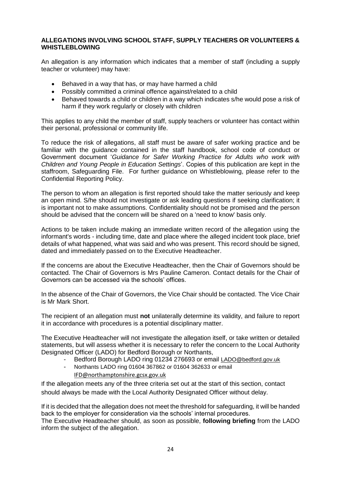#### **ALLEGATIONS INVOLVING SCHOOL STAFF, SUPPLY TEACHERS OR VOLUNTEERS & WHISTLEBLOWING**

An allegation is any information which indicates that a member of staff (including a supply teacher or volunteer) may have:

- Behaved in a way that has, or may have harmed a child
- Possibly committed a criminal offence against/related to a child
- Behaved towards a child or children in a way which indicates s/he would pose a risk of harm if they work regularly or closely with children

This applies to any child the member of staff, supply teachers or volunteer has contact within their personal, professional or community life.

To reduce the risk of allegations, all staff must be aware of safer working practice and be familiar with the guidance contained in the staff handbook, school code of conduct or Government document '*Guidance for Safer Working Practice for Adults who work with Children and Young People in Education Settings*'. Copies of this publication are kept in the staffroom, Safeguarding File. For further guidance on Whistleblowing, please refer to the Confidential Reporting Policy.

The person to whom an allegation is first reported should take the matter seriously and keep an open mind. S/he should not investigate or ask leading questions if seeking clarification; it is important not to make assumptions. Confidentiality should not be promised and the person should be advised that the concern will be shared on a 'need to know' basis only.

Actions to be taken include making an immediate written record of the allegation using the informant's words - including time, date and place where the alleged incident took place, brief details of what happened, what was said and who was present. This record should be signed, dated and immediately passed on to the Executive Headteacher.

If the concerns are about the Executive Headteacher, then the Chair of Governors should be contacted. The Chair of Governors is Mrs Pauline Cameron. Contact details for the Chair of Governors can be accessed via the schools' offices.

In the absence of the Chair of Governors, the Vice Chair should be contacted. The Vice Chair is Mr Mark Short.

The recipient of an allegation must **not** unilaterally determine its validity, and failure to report it in accordance with procedures is a potential disciplinary matter.

The Executive Headteacher will not investigate the allegation itself, or take written or detailed statements, but will assess whether it is necessary to refer the concern to the Local Authority Designated Officer (LADO) for Bedford Borough or Northants,

- Bedford Borough LADO ring 01234 276693 or email [LADO@bedford.gov.uk](mailto:LADO@bedford.gov.uk)
- Northants LADO ring 01604 367862 or 01604 362633 or email [IFD@northamptonshire.gcsx.gov.uk](mailto:MASH@northamptonshire.gcsx.gov.uk)

If the allegation meets any of the three criteria set out at the start of this section, contact should always be made with the Local Authority Designated Officer without delay.

If it is decided that the allegation does not meet the threshold for safeguarding, it will be handed back to the employer for consideration via the schools' internal procedures.

The Executive Headteacher should, as soon as possible, **following briefing** from the LADO inform the subject of the allegation.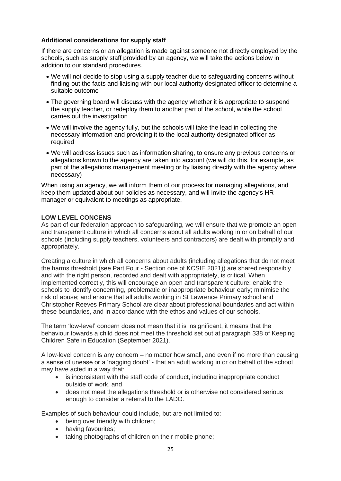#### **Additional considerations for supply staff**

If there are concerns or an allegation is made against someone not directly employed by the schools, such as supply staff provided by an agency, we will take the actions below in addition to our standard procedures.

- We will not decide to stop using a supply teacher due to safeguarding concerns without finding out the facts and liaising with our local authority designated officer to determine a suitable outcome
- The governing board will discuss with the agency whether it is appropriate to suspend the supply teacher, or redeploy them to another part of the school, while the school carries out the investigation
- We will involve the agency fully, but the schools will take the lead in collecting the necessary information and providing it to the local authority designated officer as required
- We will address issues such as information sharing, to ensure any previous concerns or allegations known to the agency are taken into account (we will do this, for example, as part of the allegations management meeting or by liaising directly with the agency where necessary)

When using an agency, we will inform them of our process for managing allegations, and keep them updated about our policies as necessary, and will invite the agency's HR manager or equivalent to meetings as appropriate.

#### **LOW LEVEL CONCENS**

As part of our federation approach to safeguarding, we will ensure that we promote an open and transparent culture in which all concerns about all adults working in or on behalf of our schools (including supply teachers, volunteers and contractors) are dealt with promptly and appropriately.

Creating a culture in which all concerns about adults (including allegations that do not meet the harms threshold (see Part Four - Section one of KCSIE 2021)) are shared responsibly and with the right person, recorded and dealt with appropriately, is critical. When implemented correctly, this will encourage an open and transparent culture; enable the schools to identify concerning, problematic or inappropriate behaviour early; minimise the risk of abuse; and ensure that all adults working in St Lawrence Primary school and Christopher Reeves Primary School are clear about professional boundaries and act within these boundaries, and in accordance with the ethos and values of our schools.

The term 'low-level' concern does not mean that it is insignificant, it means that the behaviour towards a child does not meet the threshold set out at paragraph 338 of Keeping Children Safe in Education (September 2021).

A low-level concern is any concern – no matter how small, and even if no more than causing a sense of unease or a 'nagging doubt' - that an adult working in or on behalf of the school may have acted in a way that:

- is inconsistent with the staff code of conduct, including inappropriate conduct outside of work, and
- does not meet the allegations threshold or is otherwise not considered serious enough to consider a referral to the LADO.

Examples of such behaviour could include, but are not limited to:

- being over friendly with children;
- having favourites;
- taking photographs of children on their mobile phone: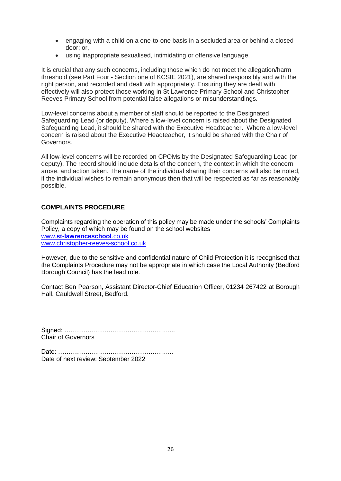- engaging with a child on a one-to-one basis in a secluded area or behind a closed door; or,
- using inappropriate sexualised, intimidating or offensive language.

It is crucial that any such concerns, including those which do not meet the allegation/harm threshold (see Part Four - Section one of KCSIE 2021), are shared responsibly and with the right person, and recorded and dealt with appropriately. Ensuring they are dealt with effectively will also protect those working in St Lawrence Primary School and Christopher Reeves Primary School from potential false allegations or misunderstandings.

Low-level concerns about a member of staff should be reported to the Designated Safeguarding Lead (or deputy). Where a low-level concern is raised about the Designated Safeguarding Lead, it should be shared with the Executive Headteacher. Where a low-level concern is raised about the Executive Headteacher, it should be shared with the Chair of Governors.

All low-level concerns will be recorded on CPOMs by the Designated Safeguarding Lead (or deputy). The record should include details of the concern, the context in which the concern arose, and action taken. The name of the individual sharing their concerns will also be noted, if the individual wishes to remain anonymous then that will be respected as far as reasonably possible.

#### **COMPLAINTS PROCEDURE**

Complaints regarding the operation of this policy may be made under the schools' Complaints Policy, a copy of which may be found on the school websites www.**st**-**[lawrenceschool](http://www.st-lawrenceschool.co.uk/)**.co.uk [www.christopher-reeves-school.co.uk](http://www.christopher-reeves-school.co.uk/)

However, due to the sensitive and confidential nature of Child Protection it is recognised that the Complaints Procedure may not be appropriate in which case the Local Authority (Bedford Borough Council) has the lead role.

Contact Ben Pearson, Assistant Director-Chief Education Officer, 01234 267422 at Borough Hall, Cauldwell Street, Bedford.

Signed: …………………………………………….. Chair of Governors

Date: ………………………………………………. Date of next review: September 2022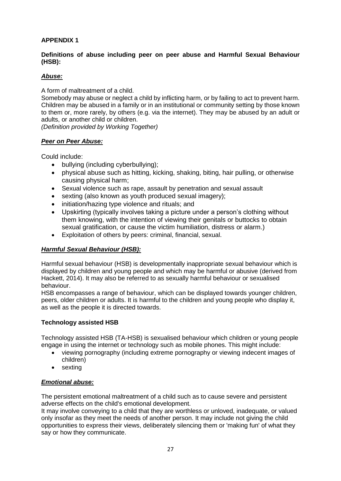#### **APPENDIX 1**

#### **Definitions of abuse including peer on peer abuse and Harmful Sexual Behaviour (HSB):**

#### *Abuse:*

A form of maltreatment of a child.

Somebody may abuse or neglect a child by inflicting harm, or by failing to act to prevent harm. Children may be abused in a family or in an institutional or community setting by those known to them or, more rarely, by others (e.g. via the internet). They may be abused by an adult or adults, or another child or children.

*(Definition provided by Working Together)*

#### *Peer on Peer Abuse:*

Could include:

- bullying (including cyberbullying);
- physical abuse such as hitting, kicking, shaking, biting, hair pulling, or otherwise causing physical harm;
- Sexual violence such as rape, assault by penetration and sexual assault
- sexting (also known as youth produced sexual imagery);
- initiation/hazing type violence and rituals; and
- Upskirting (typically involves taking a picture under a person's clothing without them knowing, with the intention of viewing their genitals or buttocks to obtain sexual gratification, or cause the victim humiliation, distress or alarm.)
- Exploitation of others by peers: criminal, financial, sexual.

#### *Harmful Sexual Behaviour (HSB):*

Harmful sexual behaviour (HSB) is developmentally inappropriate sexual behaviour which is displayed by children and young people and which may be harmful or abusive (derived from Hackett, 2014). It may also be referred to as sexually harmful behaviour or sexualised behaviour.

HSB encompasses a range of behaviour, which can be displayed towards younger children, peers, older children or adults. It is harmful to the children and young people who display it, as well as the people it is directed towards.

#### **Technology assisted HSB**

Technology assisted HSB (TA-HSB) is sexualised behaviour which children or young people engage in using the internet or technology such as mobile phones. This might include:

- viewing pornography (including extreme pornography or viewing indecent images of children)
- sexting

#### *Emotional abuse:*

The persistent emotional maltreatment of a child such as to cause severe and persistent adverse effects on the child's emotional development.

It may involve conveying to a child that they are worthless or unloved, inadequate, or valued only insofar as they meet the needs of another person. It may include not giving the child opportunities to express their views, deliberately silencing them or 'making fun' of what they say or how they communicate.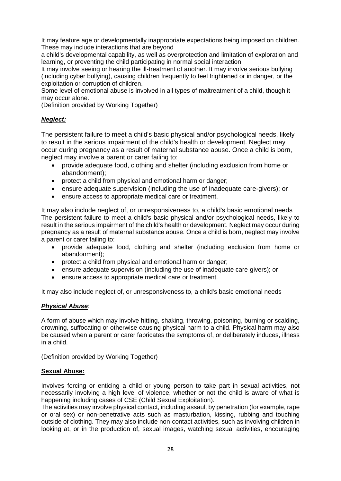It may feature age or developmentally inappropriate expectations being imposed on children. These may include interactions that are beyond

a child's developmental capability, as well as overprotection and limitation of exploration and learning, or preventing the child participating in normal social interaction

It may involve seeing or hearing the ill-treatment of another. It may involve serious bullying (including cyber bullying), causing children frequently to feel frightened or in danger, or the exploitation or corruption of children.

Some level of emotional abuse is involved in all types of maltreatment of a child, though it may occur alone.

(Definition provided by Working Together)

#### *Neglect:*

The persistent failure to meet a child's basic physical and/or psychological needs, likely to result in the serious impairment of the child's health or development. Neglect may occur during pregnancy as a result of maternal substance abuse. Once a child is born, neglect may involve a parent or carer failing to:

- provide adequate food, clothing and shelter (including exclusion from home or abandonment);
- protect a child from physical and emotional harm or danger;
- ensure adequate supervision (including the use of inadequate care-givers); or
- ensure access to appropriate medical care or treatment.

It may also include neglect of, or unresponsiveness to, a child's basic emotional needs The persistent failure to meet a child's basic physical and/or psychological needs, likely to result in the serious impairment of the child's health or development. Neglect may occur during pregnancy as a result of maternal substance abuse. Once a child is born, neglect may involve a parent or carer failing to:

- provide adequate food, clothing and shelter (including exclusion from home or abandonment);
- protect a child from physical and emotional harm or danger;
- ensure adequate supervision (including the use of inadequate care-givers); or
- ensure access to appropriate medical care or treatment.

It may also include neglect of, or unresponsiveness to, a child's basic emotional needs

#### *Physical Abuse*:

A form of abuse which may involve hitting, shaking, throwing, poisoning, burning or scalding, drowning, suffocating or otherwise causing physical harm to a child. Physical harm may also be caused when a parent or carer fabricates the symptoms of, or deliberately induces, illness in a child.

(Definition provided by Working Together)

#### **Sexual Abuse:**

Involves forcing or enticing a child or young person to take part in sexual activities, not necessarily involving a high level of violence, whether or not the child is aware of what is happening including cases of CSE (Child Sexual Exploitation).

The activities may involve physical contact, including assault by penetration (for example, rape or oral sex) or non-penetrative acts such as masturbation, kissing, rubbing and touching outside of clothing. They may also include non-contact activities, such as involving children in looking at, or in the production of, sexual images, watching sexual activities, encouraging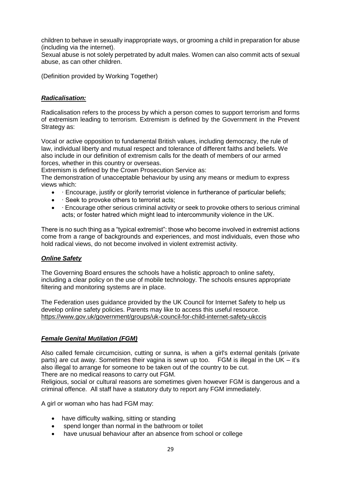children to behave in sexually inappropriate ways, or grooming a child in preparation for abuse (including via the internet).

Sexual abuse is not solely perpetrated by adult males. Women can also commit acts of sexual abuse, as can other children.

(Definition provided by Working Together)

#### *Radicalisation:*

Radicalisation refers to the process by which a person comes to support terrorism and forms of extremism leading to terrorism. Extremism is defined by the Government in the Prevent Strategy as:

Vocal or active opposition to fundamental British values, including democracy, the rule of law, individual liberty and mutual respect and tolerance of different faiths and beliefs. We also include in our definition of extremism calls for the death of members of our armed forces, whether in this country or overseas.

Extremism is defined by the Crown Prosecution Service as:

The demonstration of unacceptable behaviour by using any means or medium to express views which:

- ∙ Encourage, justify or glorify terrorist violence in furtherance of particular beliefs;
- ∙ Seek to provoke others to terrorist acts;
- ∙ Encourage other serious criminal activity or seek to provoke others to serious criminal acts; or foster hatred which might lead to intercommunity violence in the UK.

There is no such thing as a "typical extremist": those who become involved in extremist actions come from a range of backgrounds and experiences, and most individuals, even those who hold radical views, do not become involved in violent extremist activity.

#### *Online Safety*

The Governing Board ensures the schools have a holistic approach to online safety, including a clear policy on the use of mobile technology. The schools ensures appropriate filtering and monitoring systems are in place.

The Federation uses guidance provided by the UK Council for Internet Safety to help us develop online safety policies. Parents may like to access this useful resource. <https://www.gov.uk/government/groups/uk-council-for-child-internet-safety-ukccis>

#### *Female Genital Mutilation (FGM)*

Also called female circumcision, cutting or sunna, is when a girl's external genitals (private parts) are cut away. Sometimes their vagina is sewn up too. FGM is illegal in the UK – it's also illegal to arrange for someone to be taken out of the country to be cut.

There are no medical reasons to carry out FGM.

Religious, social or cultural reasons are sometimes given however FGM is dangerous and a criminal offence. All staff have a statutory duty to report any FGM immediately.

A girl or woman who has had FGM may:

- have difficulty walking, sitting or standing
- spend longer than normal in the bathroom or toilet
- have unusual behaviour after an absence from school or college